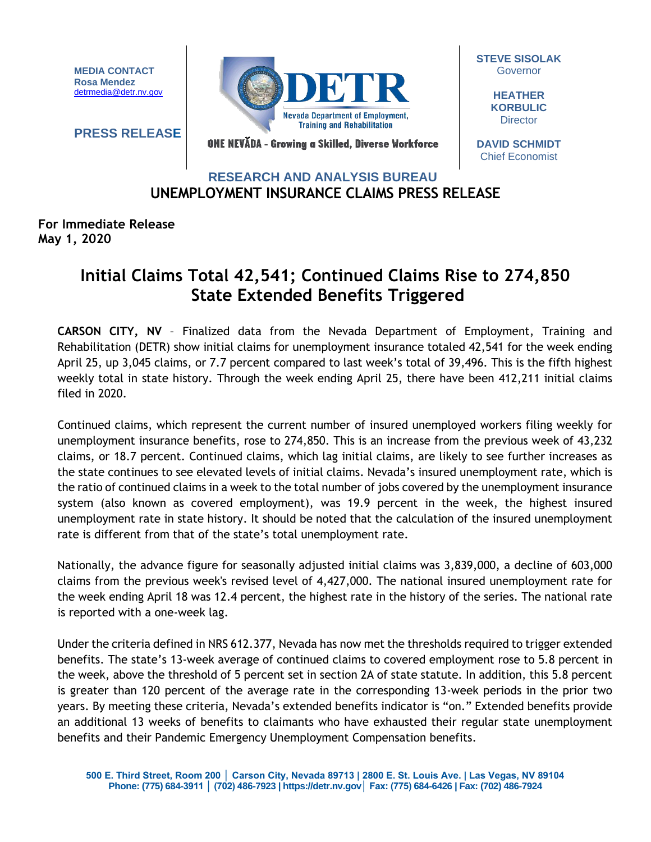**MEDIA CONTACT Rosa Mendez** [detrmedia@detr.nv.gov](mailto:detrmedia@detr.nv.gov)

**PRESS RELEASE**



**STEVE SISOLAK Governor** 

> **HEATHER KORBULIC Director**

ONE NEVĂDA - Growing a Skilled, Diverse Workforce

**DAVID SCHMIDT** Chief Economist

## **UNEMPLOYMENT INSURANCE CLAIMS PRESS RELEASE RESEARCH AND ANALYSIS BUREAU**

## **For Immediate Release May 1, 2020**

## **Initial Claims Total 42,541; Continued Claims Rise to 274,850 State Extended Benefits Triggered**

**CARSON CITY, NV** – Finalized data from the Nevada Department of Employment, Training and Rehabilitation (DETR) show initial claims for unemployment insurance totaled 42,541 for the week ending April 25, up 3,045 claims, or 7.7 percent compared to last week's total of 39,496. This is the fifth highest weekly total in state history. Through the week ending April 25, there have been 412,211 initial claims filed in 2020.

Continued claims, which represent the current number of insured unemployed workers filing weekly for unemployment insurance benefits, rose to 274,850. This is an increase from the previous week of 43,232 claims, or 18.7 percent. Continued claims, which lag initial claims, are likely to see further increases as the state continues to see elevated levels of initial claims. Nevada's insured unemployment rate, which is the ratio of continued claims in a week to the total number of jobs covered by the unemployment insurance system (also known as covered employment), was 19.9 percent in the week, the highest insured unemployment rate in state history. It should be noted that the calculation of the insured unemployment rate is different from that of the state's total unemployment rate.

Nationally, the advance figure for seasonally adjusted initial claims was 3,839,000, a decline of 603,000 claims from the previous week's revised level of 4,427,000. The national insured unemployment rate for the week ending April 18 was 12.4 percent, the highest rate in the history of the series. The national rate is reported with a one-week lag.

Under the criteria defined in NRS 612.377, Nevada has now met the thresholds required to trigger extended benefits. The state's 13-week average of continued claims to covered employment rose to 5.8 percent in the week, above the threshold of 5 percent set in section 2A of state statute. In addition, this 5.8 percent is greater than 120 percent of the average rate in the corresponding 13-week periods in the prior two years. By meeting these criteria, Nevada's extended benefits indicator is "on." Extended benefits provide an additional 13 weeks of benefits to claimants who have exhausted their regular state unemployment benefits and their Pandemic Emergency Unemployment Compensation benefits.